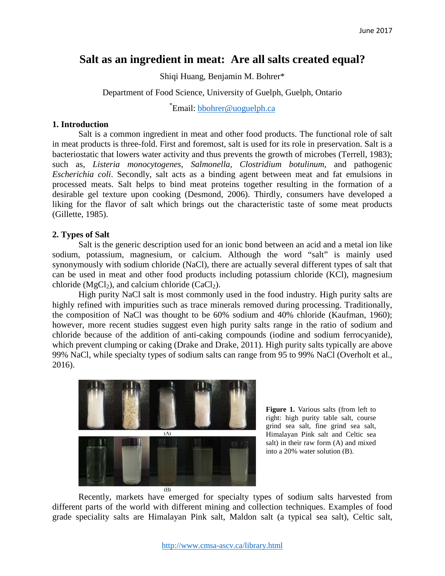# **Salt as an ingredient in meat: Are all salts created equal?**

Shiqi Huang, Benjamin M. Bohrer\*

Department of Food Science, University of Guelph, Guelph, Ontario

\*Email: **bbohrer@uoguelph.ca** 

### **1. Introduction**

Salt is a common ingredient in meat and other food products. The functional role of salt in meat products is three-fold. First and foremost, salt is used for its role in preservation. Salt is a bacteriostatic that lowers water activity and thus prevents the growth of microbes (Terrell, 1983); such as, *Listeria monocytogenes*, *Salmonella, Clostridium botulinum*, and pathogenic *Escherichia coli*. Secondly, salt acts as a binding agent between meat and fat emulsions in processed meats. Salt helps to bind meat proteins together resulting in the formation of a desirable gel texture upon cooking (Desmond, 2006). Thirdly, consumers have developed a liking for the flavor of salt which brings out the characteristic taste of some meat products (Gillette, 1985).

## **2. Types of Salt**

Salt is the generic description used for an ionic bond between an acid and a metal ion like sodium, potassium, magnesium, or calcium. Although the word "salt" is mainly used synonymously with sodium chloride (NaCl), there are actually several different types of salt that can be used in meat and other food products including potassium chloride (KCl), magnesium chloride ( $MgCl<sub>2</sub>$ ), and calcium chloride (CaCl<sub>2</sub>).

High purity NaCl salt is most commonly used in the food industry. High purity salts are highly refined with impurities such as trace minerals removed during processing. Traditionally, the composition of NaCl was thought to be 60% sodium and 40% chloride (Kaufman, 1960); however, more recent studies suggest even high purity salts range in the ratio of sodium and chloride because of the addition of anti-caking compounds (iodine and sodium ferrocyanide), which prevent clumping or caking (Drake and Drake, 2011). High purity salts typically are above 99% NaCl, while specialty types of sodium salts can range from 95 to 99% NaCl (Overholt et al., 2016).



**Figure 1.** Various salts (from left to right: high purity table salt, course grind sea salt, fine grind sea salt, Himalayan Pink salt and Celtic sea salt) in their raw form (A) and mixed into a 20% water solution (B).

Recently, markets have emerged for specialty types of sodium salts harvested from different parts of the world with different mining and collection techniques. Examples of food grade speciality salts are Himalayan Pink salt, Maldon salt (a typical sea salt), Celtic salt,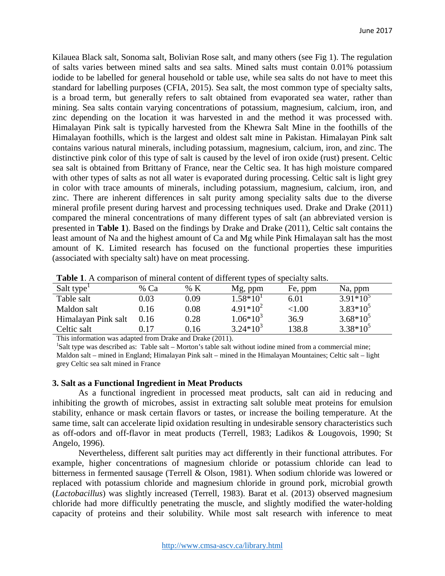Kilauea Black salt, Sonoma salt, Bolivian Rose salt, and many others (see Fig 1). The regulation of salts varies between mined salts and sea salts. Mined salts must contain 0.01% potassium iodide to be labelled for general household or table use, while sea salts do not have to meet this standard for labelling purposes (CFIA, 2015). Sea salt, the most common type of specialty salts, is a broad term, but generally refers to salt obtained from evaporated sea water, rather than mining. Sea salts contain varying concentrations of potassium, magnesium, calcium, iron, and zinc depending on the location it was harvested in and the method it was processed with. Himalayan Pink salt is typically harvested from the Khewra Salt Mine in the foothills of the Himalayan foothills, which is the largest and oldest salt mine in Pakistan. Himalayan Pink salt contains various natural minerals, including potassium, magnesium, calcium, iron, and zinc. The distinctive pink color of this type of salt is caused by the level of iron oxide (rust) present. Celtic sea salt is obtained from Brittany of France, near the Celtic sea. It has high moisture compared with other types of salts as not all water is evaporated during processing. Celtic salt is light grey in color with trace amounts of minerals, including potassium, magnesium, calcium, iron, and zinc. There are inherent differences in salt purity among speciality salts due to the diverse mineral profile present during harvest and processing techniques used. Drake and Drake (2011) compared the mineral concentrations of many different types of salt (an abbreviated version is presented in **Table 1**). Based on the findings by Drake and Drake (2011), Celtic salt contains the least amount of Na and the highest amount of Ca and Mg while Pink Himalayan salt has the most amount of K. Limited research has focused on the functional properties these impurities (associated with specialty salt) have on meat processing.

| Salt type <sup>1</sup> | % Ca | % K  | Mg, ppm       | Fe, ppm   | Na, ppm     |
|------------------------|------|------|---------------|-----------|-------------|
| Table salt             | 0.03 | 0.09 | $1.58*10^{1}$ | 6.01      | $3.91*10^5$ |
| Maldon salt            | 0.16 | 0.08 | $4.91*10^{2}$ | ${<}1.00$ | $3.83*10^5$ |
| Himalayan Pink salt    | 0.16 | 0.28 | $1.06*10^3$   | 36.9      | $3.68*10^5$ |
| Celtic salt            | 0.17 | 0.16 | $3.24*10^3$   | 138.8     | $3.38*10^5$ |

**Table 1**. A comparison of mineral content of different types of specialty salts.

This information was adapted from Drake and Drake (2011).

<sup>1</sup>Salt type was described as: Table salt – Morton's table salt without iodine mined from a commercial mine; Maldon salt – mined in England; Himalayan Pink salt – mined in the Himalayan Mountaines; Celtic salt – light grey Celtic sea salt mined in France

#### **3. Salt as a Functional Ingredient in Meat Products**

As a functional ingredient in processed meat products, salt can aid in reducing and inhibiting the growth of microbes, assist in extracting salt soluble meat proteins for emulsion stability, enhance or mask certain flavors or tastes, or increase the boiling temperature. At the same time, salt can accelerate lipid oxidation resulting in undesirable sensory characteristics such as off-odors and off-flavor in meat products (Terrell, 1983; Ladikos & Lougovois, 1990; St Angelo, 1996).

Nevertheless, different salt purities may act differently in their functional attributes. For example, higher concentrations of magnesium chloride or potassium chloride can lead to bitterness in fermented sausage (Terrell & Olson, 1981). When sodium chloride was lowered or replaced with potassium chloride and magnesium chloride in ground pork, microbial growth (*Lactobacillus*) was slightly increased (Terrell, 1983). Barat et al. (2013) observed magnesium chloride had more difficultly penetrating the muscle, and slightly modified the water-holding capacity of proteins and their solubility. While most salt research with inference to meat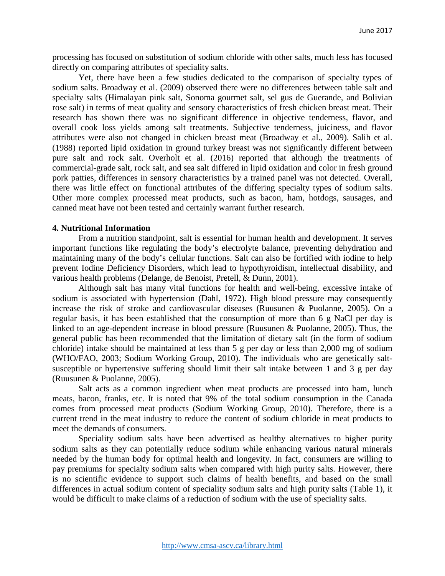processing has focused on substitution of sodium chloride with other salts, much less has focused directly on comparing attributes of speciality salts.

Yet, there have been a few studies dedicated to the comparison of specialty types of sodium salts. Broadway et al. (2009) observed there were no differences between table salt and specialty salts (Himalayan pink salt, Sonoma gourmet salt, sel gus de Guerande, and Bolivian rose salt) in terms of meat quality and sensory characteristics of fresh chicken breast meat. Their research has shown there was no significant difference in objective tenderness, flavor, and overall cook loss yields among salt treatments. Subjective tenderness, juiciness, and flavor attributes were also not changed in chicken breast meat (Broadway et al., 2009). Salih et al. (1988) reported lipid oxidation in ground turkey breast was not significantly different between pure salt and rock salt. Overholt et al. (2016) reported that although the treatments of commercial-grade salt, rock salt, and sea salt differed in lipid oxidation and color in fresh ground pork patties, differences in sensory characteristics by a trained panel was not detected. Overall, there was little effect on functional attributes of the differing specialty types of sodium salts. Other more complex processed meat products, such as bacon, ham, hotdogs, sausages, and canned meat have not been tested and certainly warrant further research.

#### **4. Nutritional Information**

From a nutrition standpoint, salt is essential for human health and development. It serves important functions like regulating the body's electrolyte balance, preventing dehydration and maintaining many of the body's cellular functions. Salt can also be fortified with iodine to help prevent Iodine Deficiency Disorders, which lead to hypothyroidism, intellectual disability, and various health problems (Delange, de Benoist, Pretell, & Dunn, 2001).

Although salt has many vital functions for health and well-being, excessive intake of sodium is associated with hypertension (Dahl, 1972). High blood pressure may consequently increase the risk of stroke and cardiovascular diseases (Ruusunen & Puolanne, 2005). On a regular basis, it has been established that the consumption of more than 6 g NaCl per day is linked to an age-dependent increase in blood pressure (Ruusunen & Puolanne, 2005). Thus, the general public has been recommended that the limitation of dietary salt (in the form of sodium chloride) intake should be maintained at less than 5 g per day or less than 2,000 mg of sodium (WHO/FAO, 2003; Sodium Working Group, 2010). The individuals who are genetically saltsusceptible or hypertensive suffering should limit their salt intake between 1 and 3 g per day (Ruusunen & Puolanne, 2005).

Salt acts as a common ingredient when meat products are processed into ham, lunch meats, bacon, franks, etc. It is noted that 9% of the total sodium consumption in the Canada comes from processed meat products (Sodium Working Group, 2010). Therefore, there is a current trend in the meat industry to reduce the content of sodium chloride in meat products to meet the demands of consumers.

Speciality sodium salts have been advertised as healthy alternatives to higher purity sodium salts as they can potentially reduce sodium while enhancing various natural minerals needed by the human body for optimal health and longevity. In fact, consumers are willing to pay premiums for specialty sodium salts when compared with high purity salts. However, there is no scientific evidence to support such claims of health benefits, and based on the small differences in actual sodium content of speciality sodium salts and high purity salts (Table 1), it would be difficult to make claims of a reduction of sodium with the use of speciality salts.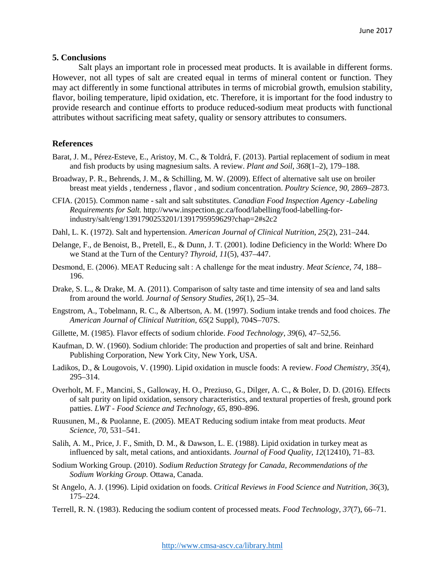#### **5. Conclusions**

Salt plays an important role in processed meat products. It is available in different forms. However, not all types of salt are created equal in terms of mineral content or function. They may act differently in some functional attributes in terms of microbial growth, emulsion stability, flavor, boiling temperature, lipid oxidation, etc. Therefore, it is important for the food industry to provide research and continue efforts to produce reduced-sodium meat products with functional attributes without sacrificing meat safety, quality or sensory attributes to consumers.

## **References**

- Barat, J. M., Pérez-Esteve, E., Aristoy, M. C., & Toldrá, F. (2013). Partial replacement of sodium in meat and fish products by using magnesium salts. A review. *Plant and Soil*, *368*(1–2), 179–188.
- Broadway, P. R., Behrends, J. M., & Schilling, M. W. (2009). Effect of alternative salt use on broiler breast meat yields , tenderness , flavor , and sodium concentration. *Poultry Science*, *90*, 2869–2873.
- CFIA. (2015). Common name salt and salt substitutes. *Canadian Food Inspection Agency -Labeling Requirements for Salt.* http://www.inspection.gc.ca/food/labelling/food-labelling-forindustry/salt/eng/1391790253201/1391795959629?chap=2#s2c2
- Dahl, L. K. (1972). Salt and hypertension. *American Journal of Clinical Nutrition*, *25*(2), 231–244.
- Delange, F., de Benoist, B., Pretell, E., & Dunn, J. T. (2001). Iodine Deficiency in the World: Where Do we Stand at the Turn of the Century? *Thyroid*, *11*(5), 437–447.
- Desmond, E. (2006). MEAT Reducing salt : A challenge for the meat industry. *Meat Science*, *74*, 188– 196.
- Drake, S. L., & Drake, M. A. (2011). Comparison of salty taste and time intensity of sea and land salts from around the world. *Journal of Sensory Studies*, *26*(1), 25–34.
- Engstrom, A., Tobelmann, R. C., & Albertson, A. M. (1997). Sodium intake trends and food choices. *The American Journal of Clinical Nutrition*, *65*(2 Suppl), 704S–707S.
- Gillette, M. (1985). Flavor effects of sodium chloride. *Food Technology*, *39*(6), 47–52,56.
- Kaufman, D. W. (1960). Sodium chloride: The production and properties of salt and brine. Reinhard Publishing Corporation, New York City, New York, USA.
- Ladikos, D., & Lougovois, V. (1990). Lipid oxidation in muscle foods: A review. *Food Chemistry*, *35*(4), 295–314.
- Overholt, M. F., Mancini, S., Galloway, H. O., Preziuso, G., Dilger, A. C., & Boler, D. D. (2016). Effects of salt purity on lipid oxidation, sensory characteristics, and textural properties of fresh, ground pork patties. *LWT - Food Science and Technology*, *65*, 890–896.
- Ruusunen, M., & Puolanne, E. (2005). MEAT Reducing sodium intake from meat products. *Meat Science*, *70*, 531–541.
- Salih, A. M., Price, J. F., Smith, D. M., & Dawson, L. E. (1988). Lipid oxidation in turkey meat as influenced by salt, metal cations, and antioxidants. *Journal of Food Quality*, *12*(12410), 71–83.
- Sodium Working Group. (2010). *Sodium Reduction Strategy for Canada, Recommendations of the Sodium Working Group.* Ottawa, Canada.
- St Angelo, A. J. (1996). Lipid oxidation on foods. *Critical Reviews in Food Science and Nutrition*, *36*(3), 175–224.
- Terrell, R. N. (1983). Reducing the sodium content of processed meats. *Food Technology*, *37*(7), 66–71.